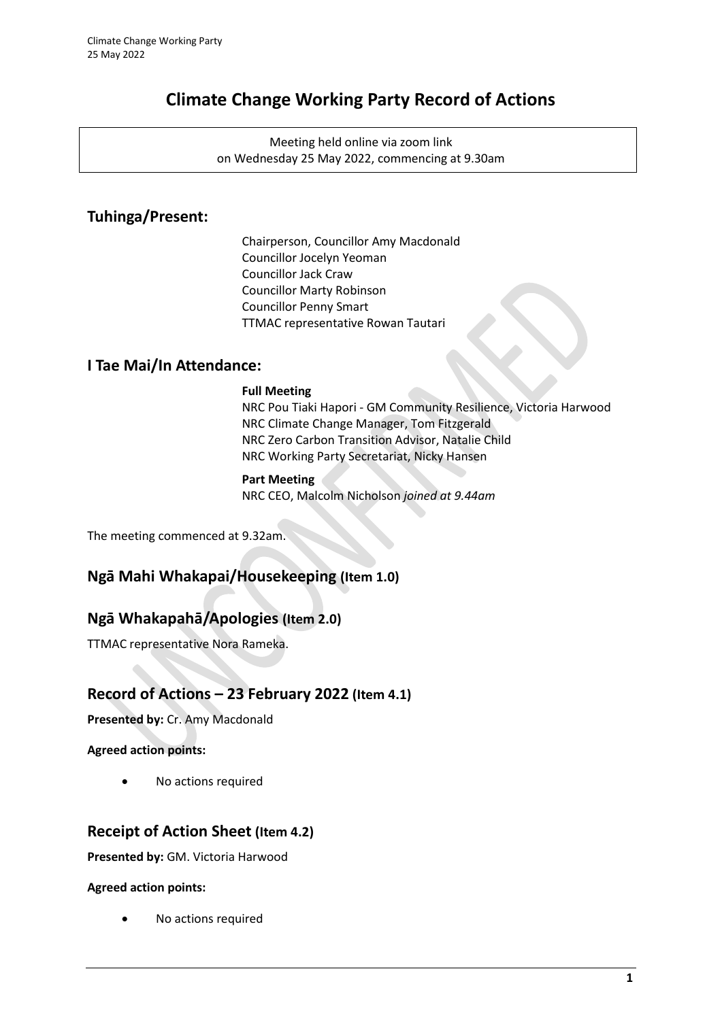# **Climate Change Working Party Record of Actions**

Meeting held online via zoom link on Wednesday 25 May 2022, commencing at 9.30am

# **Tuhinga/Present:**

Chairperson, Councillor Amy Macdonald Councillor Jocelyn Yeoman Councillor Jack Craw Councillor Marty Robinson Councillor Penny Smart TTMAC representative Rowan Tautari

# **I Tae Mai/In Attendance:**

### **Full Meeting**

NRC Pou Tiaki Hapori - GM Community Resilience, Victoria Harwood NRC Climate Change Manager, Tom Fitzgerald NRC Zero Carbon Transition Advisor, Natalie Child NRC Working Party Secretariat, Nicky Hansen

### **Part Meeting**

NRC CEO, Malcolm Nicholson *joined at 9.44am*

The meeting commenced at 9.32am.

# **Ngā Mahi Whakapai/Housekeeping (Item 1.0)**

# **Ngā Whakapahā/Apologies (Item 2.0)**

TTMAC representative Nora Rameka.

# **Record of Actions – 23 February 2022 (Item 4.1)**

**Presented by:** Cr. Amy Macdonald

**Agreed action points:** 

• No actions required

# **Receipt of Action Sheet (Item 4.2)**

**Presented by:** GM. Victoria Harwood

### **Agreed action points:**

No actions required